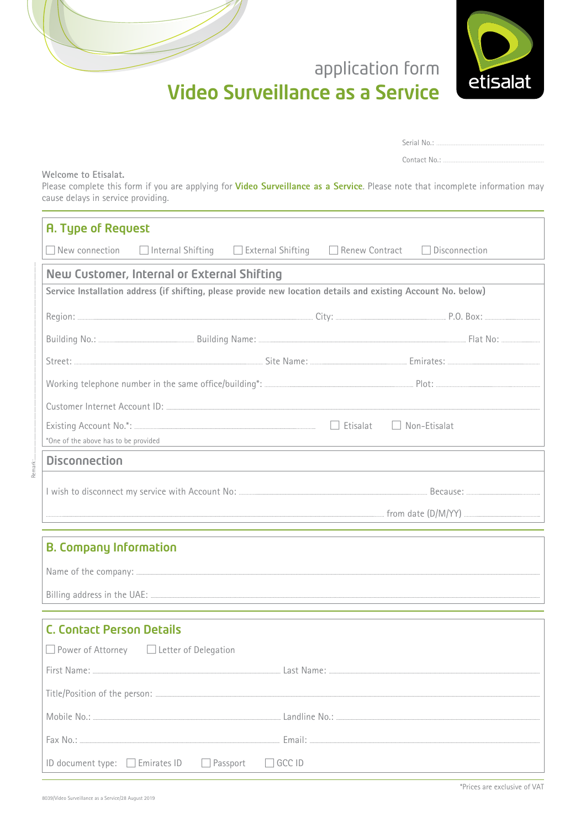

| Serial No.:  |                         |  |
|--------------|-------------------------|--|
| Contact No.: | ----------------------- |  |

Welcome to Etisalat.

Please complete this form if you are applying for Video Surveillance as a Service. Please note that incomplete information may cause delays in service providing.

| <b>A. Type of Request</b>            |                                             |                                                                                                                |                                                                                                                 |
|--------------------------------------|---------------------------------------------|----------------------------------------------------------------------------------------------------------------|-----------------------------------------------------------------------------------------------------------------|
| $\Box$ New connection                |                                             | $\Box$ Internal Shifting $\Box$ External Shifting $\Box$ Renew Contract                                        | Disconnection                                                                                                   |
|                                      | New Customer, Internal or External Shifting |                                                                                                                |                                                                                                                 |
|                                      |                                             | Service Installation address (if shifting, please provide new location details and existing Account No. below) |                                                                                                                 |
|                                      |                                             |                                                                                                                |                                                                                                                 |
|                                      |                                             |                                                                                                                |                                                                                                                 |
|                                      |                                             |                                                                                                                |                                                                                                                 |
|                                      |                                             |                                                                                                                |                                                                                                                 |
|                                      |                                             |                                                                                                                |                                                                                                                 |
|                                      |                                             |                                                                                                                |                                                                                                                 |
|                                      |                                             |                                                                                                                | *One of the above has to be provided                                                                            |
| <b>Disconnection</b>                 |                                             |                                                                                                                |                                                                                                                 |
|                                      |                                             |                                                                                                                |                                                                                                                 |
|                                      |                                             |                                                                                                                |                                                                                                                 |
|                                      |                                             |                                                                                                                |                                                                                                                 |
| <b>B. Company Information</b>        |                                             |                                                                                                                |                                                                                                                 |
|                                      |                                             |                                                                                                                |                                                                                                                 |
|                                      |                                             |                                                                                                                |                                                                                                                 |
|                                      |                                             |                                                                                                                |                                                                                                                 |
| <b>C. Contact Person Details</b>     |                                             |                                                                                                                |                                                                                                                 |
|                                      | □ Power of Attorney □ Letter of Delegation  |                                                                                                                |                                                                                                                 |
|                                      |                                             |                                                                                                                | First Name: Committee Committee Committee Committee Committee Committee Committee Committee Committee Committee |
|                                      |                                             |                                                                                                                |                                                                                                                 |
|                                      |                                             |                                                                                                                |                                                                                                                 |
|                                      |                                             |                                                                                                                |                                                                                                                 |
| ID document type: $\Box$ Emirates ID |                                             | $\Box$ Passport<br>GCC ID                                                                                      |                                                                                                                 |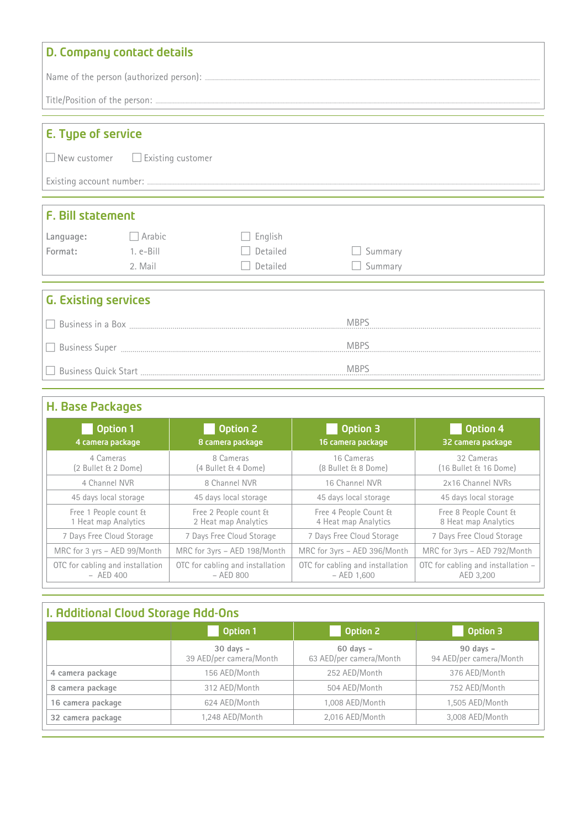|                             | D. Company contact details                   |          |                                                                                  |  |
|-----------------------------|----------------------------------------------|----------|----------------------------------------------------------------------------------|--|
|                             |                                              |          |                                                                                  |  |
|                             |                                              |          | Title/Position of the person: <u>Communications</u> of the series of the person: |  |
| <b>E. Type of service</b>   |                                              |          |                                                                                  |  |
|                             | $\Box$ New customer $\Box$ Existing customer |          |                                                                                  |  |
|                             |                                              |          |                                                                                  |  |
| <b>F. Bill statement</b>    |                                              |          |                                                                                  |  |
| Language: Rabic             |                                              | English  |                                                                                  |  |
| Format: 1. e-Bill           |                                              | Detailed | Summary                                                                          |  |
|                             | 2. Mail                                      | Detailed | $\Box$ Summary                                                                   |  |
| <b>G. Existing services</b> |                                              |          |                                                                                  |  |
|                             |                                              |          |                                                                                  |  |
|                             |                                              |          |                                                                                  |  |
|                             |                                              |          |                                                                                  |  |

# H. Base Packages

| Option 1                         | Option 2                         | Option 3                         | Option 4                           |
|----------------------------------|----------------------------------|----------------------------------|------------------------------------|
| 4 camera package                 | 8 camera package                 | 16 camera package                | 32 camera package                  |
| 4 Cameras                        | 8 Cameras                        | 16 Cameras                       | 32 Cameras                         |
| (2 Bullet & 2 Dome)              | (4 Bullet & 4 Dome)              | (8 Bullet & 8 Dome)              | (16 Bullet & 16 Dome)              |
| 4 Channel NVR                    | 8 Channel NVR                    | 16 Channel NVR                   | 2x16 Channel NVRs                  |
| 45 days local storage            | 45 days local storage            | 45 days local storage            | 45 days local storage              |
| Free 1 People count &            | Free 2 People count &            | Free 4 People Count &            | Free 8 People Count &              |
| 1 Heat map Analytics             | 2 Heat map Analytics             | 4 Heat map Analytics             | 8 Heat map Analytics               |
| 7 Days Free Cloud Storage        | 7 Days Free Cloud Storage        | 7 Days Free Cloud Storage        | 7 Days Free Cloud Storage          |
| MRC for 3 yrs - AED 99/Month     | MRC for 3yrs - AED 198/Month     | MRC for 3yrs - AED 396/Month     | MRC for 3yrs - AED 792/Month       |
| OTC for cabling and installation | OTC for cabling and installation | OTC for cabling and installation | OTC for cabling and installation - |
| $-$ AED 400                      | $-$ AED 800                      | $-$ AED 1,600                    | AED 3.200                          |

# **I. Additional Cloud Storage Add-Ons**

|                   | Option 1                                 | <b>Option 2</b>                          | Option 3                                 |
|-------------------|------------------------------------------|------------------------------------------|------------------------------------------|
|                   | $30$ days $-$<br>39 AED/per camera/Month | $60$ days $-$<br>63 AED/per camera/Month | $90$ days $-$<br>94 AED/per camera/Month |
| 4 camera package  | 156 AED/Month                            | 252 AED/Month                            | 376 AED/Month                            |
| 8 camera package  | 312 AED/Month                            | 504 AED/Month                            | 752 AED/Month                            |
| 16 camera package | 624 AED/Month                            | 1,008 AED/Month                          | 1,505 AED/Month                          |
| 32 camera package | 1,248 AED/Month                          | 2,016 AED/Month                          | 3,008 AED/Month                          |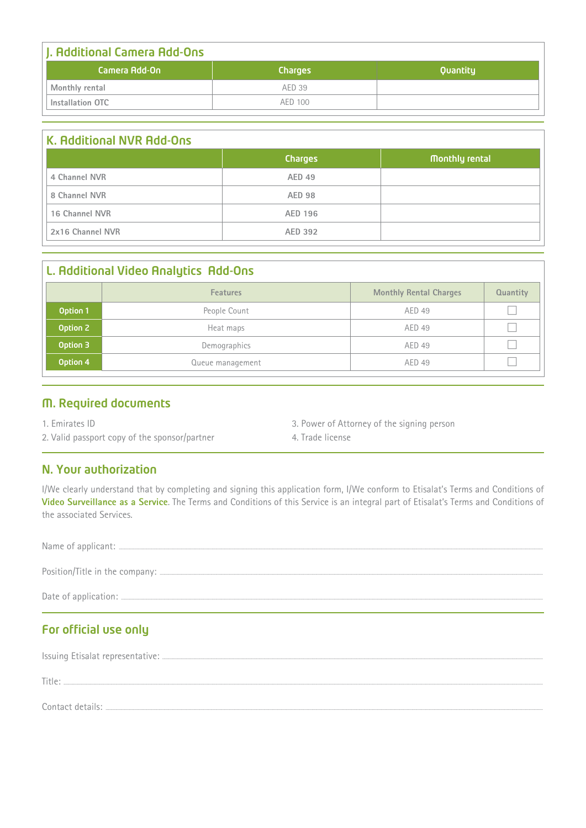| J. Additional Camera Add-Ons |                |          |
|------------------------------|----------------|----------|
| Camera Add-On                | <b>Charges</b> | Quantity |
| Monthly rental               | AED 39         |          |
| Installation OTC             | AFD 100        |          |

| K. Additional NVR Add-Ons |                |                |
|---------------------------|----------------|----------------|
|                           | <b>Charges</b> | Monthly rental |
| 4 Channel NVR             | AED 49         |                |
| 8 Channel NVR             | <b>AED 98</b>  |                |
| 16 Channel NVR            | AED 196        |                |
| 2x16 Channel NVR          | AED 392        |                |

|          | L. Additional Video Analytics Add-Ons |                               |                 |
|----------|---------------------------------------|-------------------------------|-----------------|
|          | <b>Features</b>                       | <b>Monthly Rental Charges</b> | <b>Quantity</b> |
| Option 1 | People Count                          | AED 49                        |                 |
| Option 2 | Heat maps                             | AED 49                        |                 |
| Option 3 | Demographics                          | AED 49                        |                 |
| Option 4 | Queue management                      | AED 49                        |                 |

### M. Required documents

1. Emirates ID

3. Power of Attorney of the signing person

2. Valid passport copy of the sponsor/partner

N. Your authorization

I/We clearly understand that by completing and signing this application form, I/We conform to Etisalat's Terms and Conditions of Video Surveillance as a Service. The Terms and Conditions of this Service is an integral part of Etisalat's Terms and Conditions of the associated Services.

4. Trade license

### For official use only

| Title: |
|--------|
|        |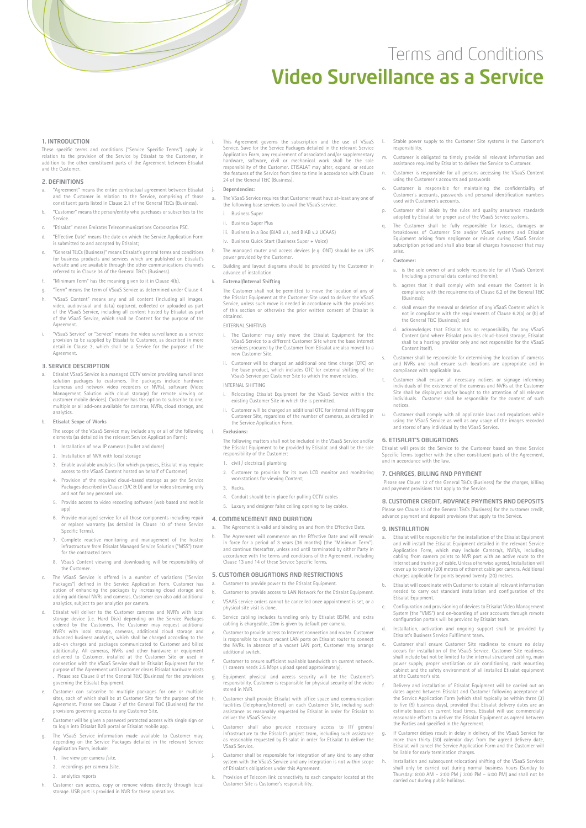# Conditions and Terms Video Surveillance as a Service

#### 1. INTRODUCTION

These specific terms and conditions ("Service Specific Terms") apply in in the total conditions (Service Specific terms) approved the customer relation to the provision of the Service by Etisalat to the Customer Etistical between the provision of the Service by Ensuite to the ediscomer, in<br>addition to the other constituent parts of the Agreement between Etisalai and the Customer

#### 2. DEFINITIONS

- a. "Agreement" means the entire contractual agreement between Etisalat and the Customer in relation to the Service, comprising of those constituent parts listed in Clause 2.1 of the General T&Cs (Business).
- b. "Customer" means the person/entity who purchases or subscribes to the .Service
- c. "Etisalat" means Emirates Telecommunications Corporation PSC.
- d. "Effective Date" means the date on which the Service Application Form is submitted to and accepted by Etisalat;
- "General T&Cs (Business)" means Etisalat's general terms and conditions for business products and services which are published on Etisalat's<br>website and are available through the other communications channels referred to in Clause 34 of the General T&Cs (Business).
- f. "Minimum Term" has the meaning given to it in Clause 4(b).
- a. "Term" means the term of VSaaS Service as determined under Clause 4 h. "VSaaS Content" means any and all content (including all images,
- video, audiovisual and data) captured, collected or uploaded as part<br>of the VSaaS Service, including all content hosted by Etisalat as part<br>of the VSaaS Service, which shall be Content for the purpose of the .Agreement
- i. "VSaaS Service" or "Service" means the video surveillance as a service "<br>provision to be supplied by Etisalat to Customer, as described in more detail in Clause 3, which shall be a Service for the purpose of the .Agreement

#### **B. SERVICE DESCRIPTION**

Ftisalat VSaaS Service is a managed CCTV service providing surveillance hardware voltable provide is a managed CETV service providing sarvening<br>solution packages to customers. The packages include hardware (cameras and network video recorders or NVRs), software (Video<br>Management Solution with cloud storage) for remote viewing on customer mobile devices). Customer has the option to subscribe to one,<br>multiple or all add-ons available for cameras, NVRs, cloud storage, and .analytics

#### **Etisalat Scope of Works**

The scope of the VSaaS Service may include any or all of the following  $\Box$ elements (as detailed in the relevant Service Application Form):

- 1. Installation of new IP cameras (bullet and dome) 2. Installation of NVR with local storage
- 
- 3. Frable available analytics (for which purposes, Etisalat may require access to the VSaaS Content hosted on behalf of Customer)
- Provision of the required cloud-based storage as per the Service Packages described in Clause (3/C & D) and for video streaming only and not for any perosnel use.
- 5. Provide access to video recording software (web based and mo (app
- 6. Provide managed service for all those components including repair Service to the those components including replate or replace warranty (as detailed in Clause 10 of these Service Specific Terms).
- 7. Complete reactive monitoring and management of the hosted infrastructure from Etisalat Managed Service Solution ("MSS") team for the contracted term
- 8. VSaaS Content viewing and downloading will be responsibility of the Customer.
- The VSaaS Service is offered in a number of variations ("Service Packages") defined in the Service Application Form. Customer has<br>option of enhancing the packages by increasing cloud storage and<br>adding additional NVRs and cameras. Customer can also add additional analytics, subject to per analytics per camera.
- Etisalat will deliver to the Customer cameras and NVR's with local storage device (i.e. Hard Disk) depending on the Service Packages<br>ordered by the Customers. The Customer may request additional<br>NVR's with local storage, cameras, additional cloud storage and<br>advanced business analytics, w additionally. All cameras, NVRs and other hardware or equipment<br>delivered to Customer, installed at the Customer Site or used in<br>connection with the VSaaS Service shall be Etisalat Equipment for the purpose of the Agreement until customer clears Etisalat hardware costs . Please see Clause 8 of the General T&C (Business) for the provisions<br>governing the Etisalat Equipment.
- e. Customer can subscribe to multiple packages for one or multiple sites, each of which shall be at Customer Site for the purpose of the Agreement. Please see Clause 7 of the General T&C (Business) for the provisions governing access to any Customer Site.
- f. Customer will be given a password protected access with single sign on<br>to login into Etisalat B2B portal or Etisalat mobile app.
- n The VSaaS Service information made available to Customer may depending on the Service Packages detailed in the relevant Service<br>Application Form, include:
	- 1. live view per camera /site
	- 2. recordings per camera /site
	- 3. analytics reports
- h. Customer can access, copy or remove videos directly through local storage. USB port is provided in NVR for these operations.
- i. This Agreement governs the subscription and the use of VSaaS<br>Service. Save for the Service Packages detailed in the relevant Service supplication Form, any requirement of associated and/or supplementary hardware, software, civil or mechanical work shall be the sole<br>responsibility of the Customer. ETISALAT may alter, expand, or reduce The classified in the case with a cordance with Clause the features of the Service from time to time in accordance with Clause 24 of the General T&C (Business).
- Dependencies:

|<br>|}

- a. The VSaaS Service requires that Customer must have at-least any one of the following base services to avail the VSaaS service.
	- i Business Super
	- ii. Business Super Plus
	- iii. Business in a Box (BIAB v.1, and BIAB v.2 UCAAS)
- iv. Business Quick Start (Business Super + Voice)
- b. The managed router and access devices (e.g. ONT) should be on UPS power provided by the Customer.
- c. Building and layout diagrams should be provided by the Customer in advance of installation
- **External/Internal Shifting**

The Customer shall not be permitted to move the location of any of the Etisalat Equipment at the Customer Site used to deliver the VSaaS<br>Service, unless such move is needed in accordance with the provisions of this section or otherwise the prior written consent of Ftisalat is .obtained

EXTERNAL SHIFTING

- i. The Customer may only move the Etisalat Equipment for the VSaaS Service to a different Customer Site where the base internet a to move to a three controlled also move the business controlled and the business new Customer Site
- ii. Customer will be charged an additional one time charge (OTC) on<br>the base product, which includes OTC for external shifting of the<br>VSaaS Service per Customer Site to which the move relates. INTERNAL SHIFTING
- 
- i. Relocating Etisalat Equipment for the VSaaS Service within the existing Customer Site in which the is permitted.
- ii. Customer will be charged an additional OTC for internal shifting per<br>Customer Site, regardless of the number of cameras, as detailed in the Service Application Form.

#### Exclusions<sup>1</sup>

The following matters shall not be included in the VSaaS Service and/or the Etisalat Equipment to be provided by Etisalat and shall be the sole responsibility of the Customer

- 1. civil / electrical/ plumbing
- 2. Customer to provision for its own LCD monitor and monitoring workstations for viewing Content;
- .Racks 3.
- 4. Conduit should be in place for pulling CCTV cables
- 5. Luxury and designer false ceiling opening to lay cables.

#### 4. COMMENCEMENT AND DURATION

The Agreement is valid and binding on and from the Effective Date. The Agreement will commence on the Effective Date and will remain in force for a period of 3 years (36 months) (the "Minimum Term").<br>and continue thereafter, unless and until terminated by either Party in<br>accordance with the terms and conditions of the Agreement, including Clause 13 and 14 of these Service Specific Terms

#### 5. CUSTOMER OBLIGATIONS AND RESTRICTIONS

- Customer to provide power to the Etisalat Equipment
- b. Customer to provide access to LAN Network for the Etisalat Foujoment. VSAAS service orders cannot be cancelled once appointment is set, or a physical site visit is done.
- d. Service cabling includes tunneling only by Etisalat BSFM, and extra cabling is chargeable, 20m is given by default per camera.
- Customer to provide access to Internet connection and router. Customer constants to prothe access to missing connection and contain accessible is responsible to ensure vacant LAN norts on Pitcalat router to connect arrange may customer may arrange the NVRs. In absence of a vacant LAN port, Customer may arrange additional switch.
- Customer to ensure sufficient available bandwidth on current network . and the contract of the contract of the camera in the camera needs 2.5 Mbps upload speed approximately).
- Equipment physical and access security will be the Customer's responsibility. Customer is responsible for physical security of the video. stored in NVR
- Customer shall provide Etisalat with office space and communication facilities (Telephone/Internet) on each Customer Site, including such<br>assistance as reasonably requested by Etisalat in order for Etisalat to assistance as reasonably
- i. Customer shall also provide necessary access to IT/ general<br>infrastructure to the Etisalat's project team, including such assistance<br>as reasonably requested by Etisalat in order for Etisalat to deliver the VSaaS Service.
- Customer shall be responsible for integration of any kind to any other system with the VSaaS Service and any integration is not within scope<br>of Etisalat's obligations under this Agreement.
- Provision of Telecom link connectivity to each computer located at the .responsibility s'Customer is Site Customer
- I. Stable power supply to the Customer Site systems is the Customer's .responsibility
- m. Customer is obligated to timely provide all relevant information and assistance required by Etisalat to deliver the Service to Customer.
- Customer is responsible for all persons accessing the VSaaS Content using the Customer's accounts and passwords
- o. Customer is responsible for maintaining the confidentiality of Customer's accounts, passwords and personal identification numbers used with Customer's accounts.
- p. Customer shall abide by the rules and quality assurance standards adopted by Etisalat for proper use of the VSaaS Service systems.
- q. The Customer shall be fully responsible for losses, damages or<br>breakdowns of Customer Site and/or VSaaS systems and Etisalat<br>Equipment arising from negligence or misuse during VSaaS Service equipment drising from hogingence of misase daring visual service .arise

#### $C$ ustomer<sup></sup>

- a. is the sole owner of and solely responsible for all VSaaS Content (including a personal data contained therein);
- b. agrees that it shall comply with and ensure the Content is in  $\overline{a}$  mpliance with the requirements of Clause 6.2 of the General T&C compnance
- c. shall ensure the removal or deletion of any VSaaS Content which is not in compliance with the requirements of Clause 6.2(a) or (b) of the General T&C (Business); and
- d. acknowledges that Etisalat has no responsibility for any VSaaS Content (and where Etisalat provides cloud-based storage, Etisalat<br>shall be a hosting provider only and not responsible for the VSaaS Content itself).
- s. Customer shall be responsible for determining the location of cameras and NVRs and shall ensure such locations are appropriate and in and invisit and shall ensure sure.<br>compliance with applicable law.
- Customer shall ensure all necessary notices or signage informing individuals of the existence of the cameras and NVRs at the Customer<br>Site shall be displayed and/or bought to the attention of all relevant individuals. Customer shall be responsible for the content of such ......<br>notices.
- u. Customer shall comply with all applicable laws and regulations while using the VSaaS Service as well as any usage of the images recorded asing the vsaas service as well as any asage of and stored of any individual by the VSaaS Service.

#### **6. ETISALAT'S OBLIGATIONS**

Etisalat will provide the Service to the Customer based on these Service<br>Specific Terms together with the other constituent parts of the Agreement, specific terms together than the<br>and in accordance with the law.

#### 7. CHARGES, BILLING AND PAYMENT

Please see Clause 12 of the General T&Cs (Business) for the charges, billing and payment provisions that apply to the Service.

#### 8. CUSTOMER CREDIT, ADVANCE PAYMENTS AND DEPOSITS

Please see Clause 13 of the General T&Cs (Business) for the customer credit, advance payment and deposit provisions that apply to the Service.

#### **9. INSTALLATION**

- Etisalat will be responsible for the installation of the Etisalat Equipment Etisalat will be responsible for the installation of the Etisalat equipment and will install the Etisalat Equipment detailed in the relevant Service Application Form, which may include Camera/s, NVR/s, including<br>cabling from camera points to NVR port with an active route to the Edding non-cancel points to two port which an active route to the cover up to twenty (20) metres of ethernet cable per camera. Additional charges applicable for points beyond twenty (20) metres.
- Etisalat will coordinate with Customer to obtain all relevant inform needed to carry out standard installation and configuration of the Etisalat Equipment.
- c. Configuration and provisioning of devices to Etisalat Video Management<br>System (the "VMS") and on-boarding of user accounts through remote configuration portals will be provided by Etisalat team.
- Installation, activation and ongoing support shall be provided by Etisalat's Business Service Fulfilment team.
- e. Customer shall ensure Customer Site readiness to ensure no delay<br>occurs for installation of the VSaaS Service. Customer Site readiness<br>shall include but not be limited to the internal structured cabling, main power supply, proper ventilation or air conditioning, rack mounting<br>cabinet and the safety environment of all installed Etisalat equipment at the Customer's site.
- Delivery and installation of Etisalat Equipment will be carried out on dates agreed between Etisalat and Customer following acceptance of<br>the Service Application Form (which shall typically be within three (3)<br>to five (5) business days), provided that Etisalat delivery dates are an estimate based on current lead times. Ftisalat will use commercially between also and cancele can almost ensuite with use commercially reasonable efforts to deliver the Etisalat Equipment as agreed between the Parties and specified in the Agreement.
- g. If Customer delays result in delay in delivery of the VSaaS Service for<br>more than thirty (30) calendar days from the agreed delivery date,<br>Etisalat will cancel the Service Application Form and the Customer will he liable for early termination charges.
- Installation and subsequent relocation/ shifting of the VSaaS Services shall only be carried out during normal business hours (Sunday to<br>Thursday: 8:00 AM – 2:00 PM / 3:00 PM – 6:00 PM) and shall not be<br>carried out during public holidays.